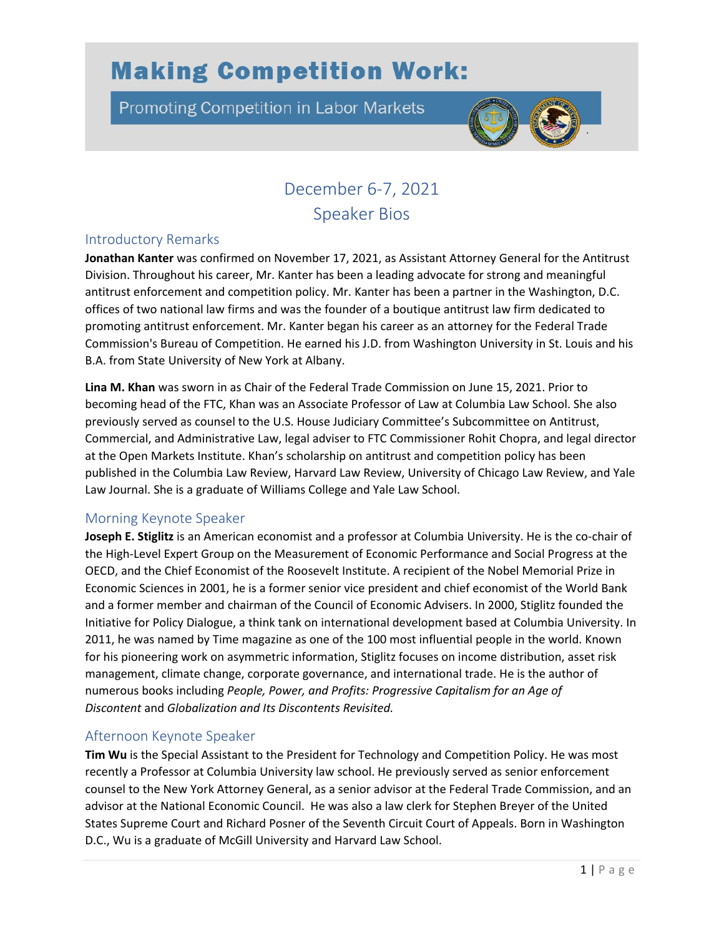# **Making Competition Work:**

**Promoting Competition in Labor Markets** 



# December 6-7, 2021 Speaker Bios

# Introductory Remarks

**Jonathan Kanter** was confirmed on November 17, 2021, as Assistant Attorney General for the Antitrust Division. Throughout his career, Mr. Kanter has been a leading advocate for strong and meaningful antitrust enforcement and competition policy. Mr. Kanter has been a partner in the Washington, D.C. offices of two national law firms and was the founder of a boutique antitrust law firm dedicated to promoting antitrust enforcement. Mr. Kanter began his career as an attorney for the Federal Trade Commission's Bureau of Competition. He earned his J.D. from Washington University in St. Louis and his B.A. from State University of New York at Albany.

**Lina M. Khan** was sworn in as Chair of the Federal Trade Commission on June 15, 2021. Prior to becoming head of the FTC, Khan was an Associate Professor of Law at Columbia Law School. She also previously served as counsel to the U.S. House Judiciary Committee's Subcommittee on Antitrust, Commercial, and Administrative Law, legal adviser to FTC Commissioner Rohit Chopra, and legal director at the Open Markets Institute. Khan's scholarship on antitrust and competition policy has been published in the Columbia Law Review, Harvard Law Review, University of Chicago Law Review, and Yale Law Journal. She is a graduate of Williams College and Yale Law School.

#### Morning Keynote Speaker

**Joseph E. Stiglitz** is an American economist and a professor at Columbia University. He is the co-chair of the High-Level Expert Group on the Measurement of Economic Performance and Social Progress at the OECD, and the Chief Economist of the Roosevelt Institute. A recipient of the Nobel Memorial Prize in Economic Sciences in 2001, he is a former senior vice president and chief economist of the World Bank and a former member and chairman of the Council of Economic Advisers. In 2000, Stiglitz founded the Initiative for Policy Dialogue, a think tank on international development based at Columbia University. In 2011, he was named by Time magazine as one of the 100 most influential people in the world. Known for his pioneering work on asymmetric information, Stiglitz focuses on income distribution, asset risk management, climate change, corporate governance, and international trade. He is the author of numerous books including *People, Power, and Profits: Progressive Capitalism for an Age of Discontent* and *Globalization and Its Discontents Revisited.*

# Afternoon Keynote Speaker

**Tim Wu** is the Special Assistant to the President for Technology and Competition Policy. He was most recently a Professor at Columbia University law school. He previously served as senior enforcement counsel to the New York Attorney General, as a senior advisor at the Federal Trade Commission, and an advisor at the National Economic Council. He was also a law clerk for Stephen Breyer of the United States Supreme Court and Richard Posner of the Seventh Circuit Court of Appeals. Born in Washington D.C., Wu is a graduate of McGill University and Harvard Law School.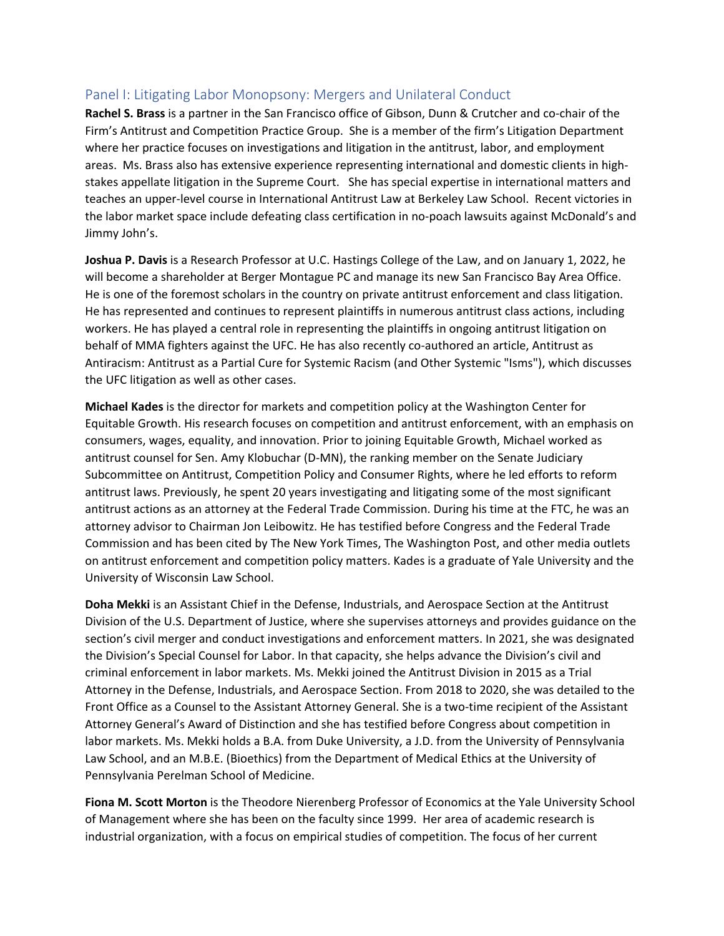# Panel I: Litigating Labor Monopsony: Mergers and Unilateral Conduct

**Rachel S. Brass** is a partner in the San Francisco office of Gibson, Dunn & Crutcher and co-chair of the Firm's Antitrust and Competition Practice Group. She is a member of the firm's Litigation Department where her practice focuses on investigations and litigation in the antitrust, labor, and employment areas. Ms. Brass also has extensive experience representing international and domestic clients in highstakes appellate litigation in the Supreme Court. She has special expertise in international matters and teaches an upper-level course in International Antitrust Law at Berkeley Law School. Recent victories in the labor market space include defeating class certification in no-poach lawsuits against McDonald's and Jimmy John's.

**Joshua P. Davis** is a Research Professor at U.C. Hastings College of the Law, and on January 1, 2022, he will become a shareholder at Berger Montague PC and manage its new San Francisco Bay Area Office. He is one of the foremost scholars in the country on private antitrust enforcement and class litigation. He has represented and continues to represent plaintiffs in numerous antitrust class actions, including workers. He has played a central role in representing the plaintiffs in ongoing antitrust litigation on behalf of MMA fighters against the UFC. He has also recently co-authored an article, Antitrust as Antiracism: Antitrust as a Partial Cure for Systemic Racism (and Other Systemic "Isms"), which discusses the UFC litigation as well as other cases.

**Michael Kades** is the director for markets and competition policy at the Washington Center for Equitable Growth. His research focuses on competition and antitrust enforcement, with an emphasis on consumers, wages, equality, and innovation. Prior to joining Equitable Growth, Michael worked as antitrust counsel for Sen. Amy Klobuchar (D-MN), the ranking member on the Senate Judiciary Subcommittee on Antitrust, Competition Policy and Consumer Rights, where he led efforts to reform antitrust laws. Previously, he spent 20 years investigating and litigating some of the most significant antitrust actions as an attorney at the Federal Trade Commission. During his time at the FTC, he was an attorney advisor to Chairman Jon Leibowitz. He has testified before Congress and the Federal Trade Commission and has been cited by The New York Times, The Washington Post, and other media outlets on antitrust enforcement and competition policy matters. Kades is a graduate of Yale University and the University of Wisconsin Law School.

**Doha Mekki** is an Assistant Chief in the Defense, Industrials, and Aerospace Section at the Antitrust Division of the U.S. Department of Justice, where she supervises attorneys and provides guidance on the section's civil merger and conduct investigations and enforcement matters. In 2021, she was designated the Division's Special Counsel for Labor. In that capacity, she helps advance the Division's civil and criminal enforcement in labor markets. Ms. Mekki joined the Antitrust Division in 2015 as a Trial Attorney in the Defense, Industrials, and Aerospace Section. From 2018 to 2020, she was detailed to the Front Office as a Counsel to the Assistant Attorney General. She is a two-time recipient of the Assistant Attorney General's Award of Distinction and she has testified before Congress about competition in labor markets. Ms. Mekki holds a B.A. from Duke University, a J.D. from the University of Pennsylvania Law School, and an M.B.E. (Bioethics) from the Department of Medical Ethics at the University of Pennsylvania Perelman School of Medicine.

**Fiona M. Scott Morton** is the Theodore Nierenberg Professor of Economics at the Yale University School of Management where she has been on the faculty since 1999. Her area of academic research is industrial organization, with a focus on empirical studies of competition. The focus of her current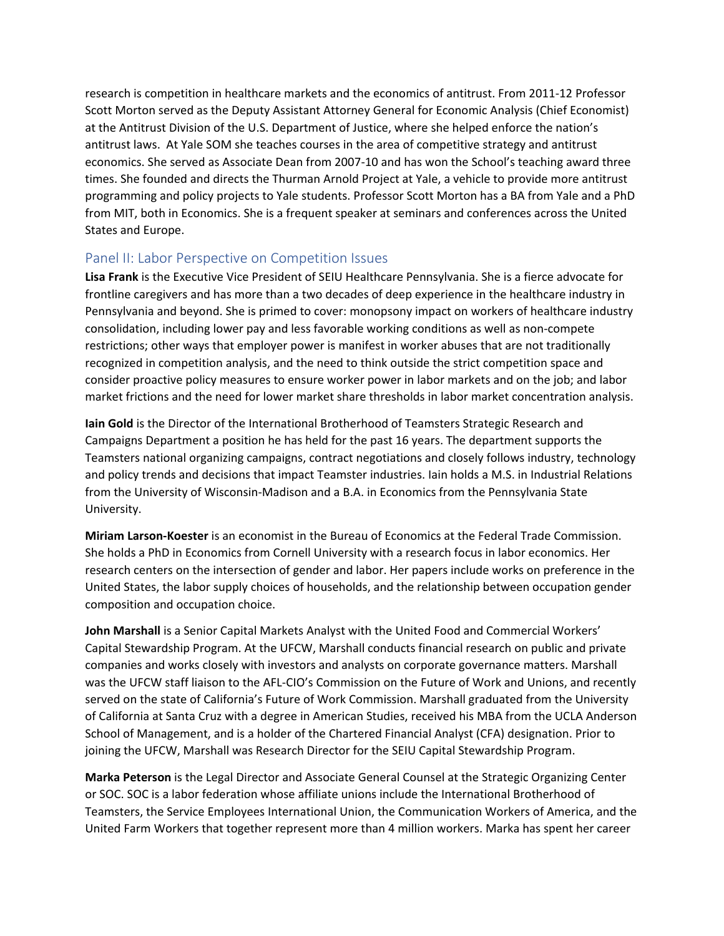research is competition in healthcare markets and the economics of antitrust. From 2011-12 Professor Scott Morton served as the Deputy Assistant Attorney General for Economic Analysis (Chief Economist) at the Antitrust Division of the U.S. Department of Justice, where she helped enforce the nation's antitrust laws. At Yale SOM she teaches courses in the area of competitive strategy and antitrust economics. She served as Associate Dean from 2007-10 and has won the School's teaching award three times. She founded and directs the Thurman Arnold Project at Yale, a vehicle to provide more antitrust programming and policy projects to Yale students. Professor Scott Morton has a BA from Yale and a PhD from MIT, both in Economics. She is a frequent speaker at seminars and conferences across the United States and Europe.

#### Panel II: Labor Perspective on Competition Issues

**Lisa Frank** is the Executive Vice President of SEIU Healthcare Pennsylvania. She is a fierce advocate for frontline caregivers and has more than a two decades of deep experience in the healthcare industry in Pennsylvania and beyond. She is primed to cover: monopsony impact on workers of healthcare industry consolidation, including lower pay and less favorable working conditions as well as non-compete restrictions; other ways that employer power is manifest in worker abuses that are not traditionally recognized in competition analysis, and the need to think outside the strict competition space and consider proactive policy measures to ensure worker power in labor markets and on the job; and labor market frictions and the need for lower market share thresholds in labor market concentration analysis.

**Iain Gold** is the Director of the International Brotherhood of Teamsters Strategic Research and Campaigns Department a position he has held for the past 16 years. The department supports the Teamsters national organizing campaigns, contract negotiations and closely follows industry, technology and policy trends and decisions that impact Teamster industries. Iain holds a M.S. in Industrial Relations from the University of Wisconsin-Madison and a B.A. in Economics from the Pennsylvania State University.

**Miriam Larson-Koester** is an economist in the Bureau of Economics at the Federal Trade Commission. She holds a PhD in Economics from Cornell University with a research focus in labor economics. Her research centers on the intersection of gender and labor. Her papers include works on preference in the United States, the labor supply choices of households, and the relationship between occupation gender composition and occupation choice.

**John Marshall** is a Senior Capital Markets Analyst with the United Food and Commercial Workers' Capital Stewardship Program. At the UFCW, Marshall conducts financial research on public and private companies and works closely with investors and analysts on corporate governance matters. Marshall was the UFCW staff liaison to the AFL-CIO's Commission on the Future of Work and Unions, and recently served on the state of California's Future of Work Commission. Marshall graduated from the University of California at Santa Cruz with a degree in American Studies, received his MBA from the UCLA Anderson School of Management, and is a holder of the Chartered Financial Analyst (CFA) designation. Prior to joining the UFCW, Marshall was Research Director for the SEIU Capital Stewardship Program.

**Marka Peterson** is the Legal Director and Associate General Counsel at the Strategic Organizing Center or SOC. SOC is a labor federation whose affiliate unions include the International Brotherhood of Teamsters, the Service Employees International Union, the Communication Workers of America, and the United Farm Workers that together represent more than 4 million workers. Marka has spent her career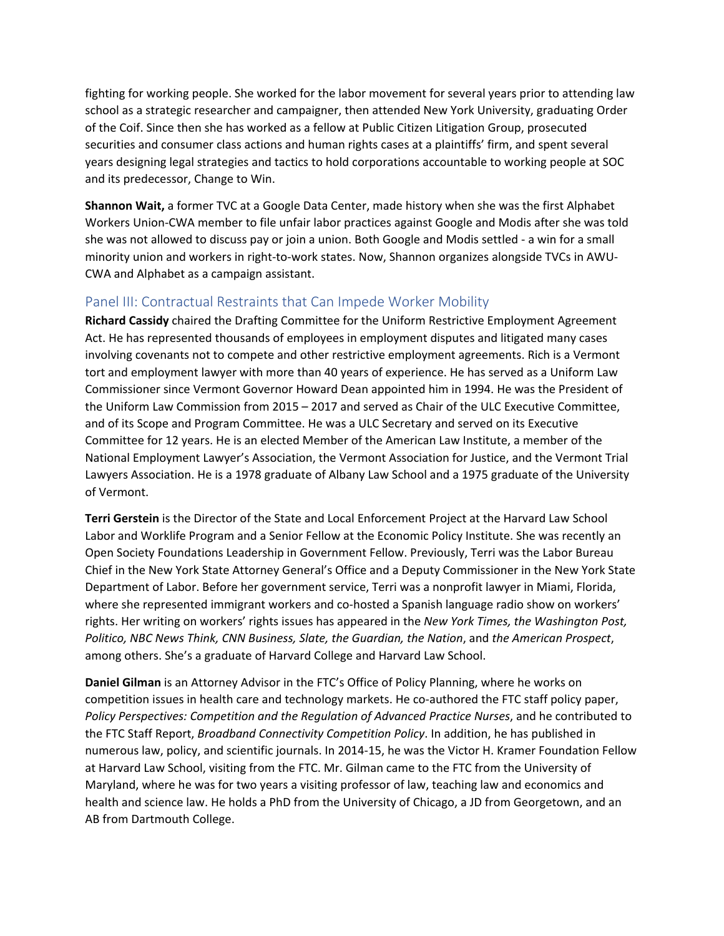fighting for working people. She worked for the labor movement for several years prior to attending law school as a strategic researcher and campaigner, then attended New York University, graduating Order of the Coif. Since then she has worked as a fellow at Public Citizen Litigation Group, prosecuted securities and consumer class actions and human rights cases at a plaintiffs' firm, and spent several years designing legal strategies and tactics to hold corporations accountable to working people at SOC and its predecessor, Change to Win.

**Shannon Wait,** a former TVC at a Google Data Center, made history when she was the first Alphabet Workers Union-CWA member to file unfair labor practices against Google and Modis after she was told she was not allowed to discuss pay or join a union. Both Google and Modis settled - a win for a small minority union and workers in right-to-work states. Now, Shannon organizes alongside TVCs in AWU-CWA and Alphabet as a campaign assistant.

# Panel III: Contractual Restraints that Can Impede Worker Mobility

**Richard Cassidy** chaired the Drafting Committee for the Uniform Restrictive Employment Agreement Act. He has represented thousands of employees in employment disputes and litigated many cases involving covenants not to compete and other restrictive employment agreements. Rich is a Vermont tort and employment lawyer with more than 40 years of experience. He has served as a Uniform Law Commissioner since Vermont Governor Howard Dean appointed him in 1994. He was the President of the Uniform Law Commission from 2015 – 2017 and served as Chair of the ULC Executive Committee, and of its Scope and Program Committee. He was a ULC Secretary and served on its Executive Committee for 12 years. He is an elected Member of the American Law Institute, a member of the National Employment Lawyer's Association, the Vermont Association for Justice, and the Vermont Trial Lawyers Association. He is a 1978 graduate of Albany Law School and a 1975 graduate of the University of Vermont.

**Terri Gerstein** is the Director of the State and Local Enforcement Project at the Harvard Law School Labor and Worklife Program and a Senior Fellow at the Economic Policy Institute. She was recently an Open Society Foundations Leadership in Government Fellow. Previously, Terri was the Labor Bureau Chief in the New York State Attorney General's Office and a Deputy Commissioner in the New York State Department of Labor. Before her government service, Terri was a nonprofit lawyer in Miami, Florida, where she represented immigrant workers and co-hosted a Spanish language radio show on workers' rights. Her writing on workers' rights issues has appeared in the *New York Times, the Washington Post, Politico, NBC News Think, CNN Business, Slate, the Guardian, the Nation*, and *the American Prospect*, among others. She's a graduate of Harvard College and Harvard Law School.

**Daniel Gilman** is an Attorney Advisor in the FTC's Office of Policy Planning, where he works on competition issues in health care and technology markets. He co-authored the FTC staff policy paper, *Policy Perspectives: Competition and the Regulation of Advanced Practice Nurses*, and he contributed to the FTC Staff Report, *Broadband Connectivity Competition Policy*. In addition, he has published in numerous law, policy, and scientific journals. In 2014-15, he was the Victor H. Kramer Foundation Fellow at Harvard Law School, visiting from the FTC. Mr. Gilman came to the FTC from the University of Maryland, where he was for two years a visiting professor of law, teaching law and economics and health and science law. He holds a PhD from the University of Chicago, a JD from Georgetown, and an AB from Dartmouth College.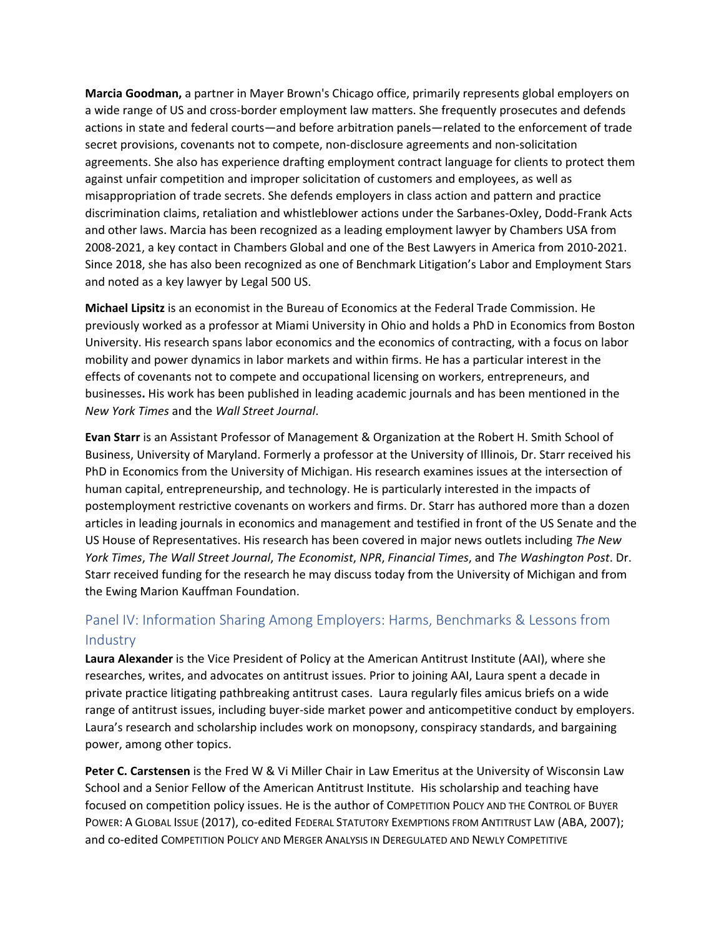**Marcia Goodman,** a partner in Mayer Brown's Chicago office, primarily represents global employers on a wide range of US and cross-border employment law matters. She frequently prosecutes and defends actions in state and federal courts—and before arbitration panels—related to the enforcement of trade secret provisions, covenants not to compete, non-disclosure agreements and non-solicitation agreements. She also has experience drafting employment contract language for clients to protect them against unfair competition and improper solicitation of customers and employees, as well as misappropriation of trade secrets. She defends employers in class action and pattern and practice discrimination claims, retaliation and whistleblower actions under the Sarbanes-Oxley, Dodd-Frank Acts and other laws. Marcia has been recognized as a leading employment lawyer by Chambers USA from 2008-2021, a key contact in Chambers Global and one of the Best Lawyers in America from 2010-2021. Since 2018, she has also been recognized as one of Benchmark Litigation's Labor and Employment Stars and noted as a key lawyer by Legal 500 US.

**Michael Lipsitz** is an economist in the Bureau of Economics at the Federal Trade Commission. He previously worked as a professor at Miami University in Ohio and holds a PhD in Economics from Boston University. His research spans labor economics and the economics of contracting, with a focus on labor mobility and power dynamics in labor markets and within firms. He has a particular interest in the effects of covenants not to compete and occupational licensing on workers, entrepreneurs, and businesses**.** His work has been published in leading academic journals and has been mentioned in the *New York Times* and the *Wall Street Journal*.

**Evan Starr** is an Assistant Professor of Management & Organization at the Robert H. Smith School of Business, University of Maryland. Formerly a professor at the University of Illinois, Dr. Starr received his PhD in Economics from the University of Michigan. His research examines issues at the intersection of human capital, entrepreneurship, and technology. He is particularly interested in the impacts of postemployment restrictive covenants on workers and firms. Dr. Starr has authored more than a dozen articles in leading journals in economics and management and testified in front of the US Senate and the US House of Representatives. His research has been covered in major news outlets including *The New York Times*, *The Wall Street Journal*, *The Economist*, *NPR*, *Financial Times*, and *The Washington Post*. Dr. Starr received funding for the research he may discuss today from the University of Michigan and from the Ewing Marion Kauffman Foundation.

# Panel IV: Information Sharing Among Employers: Harms, Benchmarks & Lessons from Industry

**Laura Alexander** is the Vice President of Policy at the American Antitrust Institute (AAI), where she researches, writes, and advocates on antitrust issues. Prior to joining AAI, Laura spent a decade in private practice litigating pathbreaking antitrust cases. Laura regularly files amicus briefs on a wide range of antitrust issues, including buyer-side market power and anticompetitive conduct by employers. Laura's research and scholarship includes work on monopsony, conspiracy standards, and bargaining power, among other topics.

**Peter C. Carstensen** is the Fred W & Vi Miller Chair in Law Emeritus at the University of Wisconsin Law School and a Senior Fellow of the American Antitrust Institute. His scholarship and teaching have focused on competition policy issues. He is the author of COMPETITION POLICY AND THE CONTROL OF BUYER POWER: A GLOBAL ISSUE (2017), co-edited FEDERAL STATUTORY EXEMPTIONS FROM ANTITRUST LAW (ABA, 2007); and co-edited COMPETITION POLICY AND MERGER ANALYSIS IN DEREGULATED AND NEWLY COMPETITIVE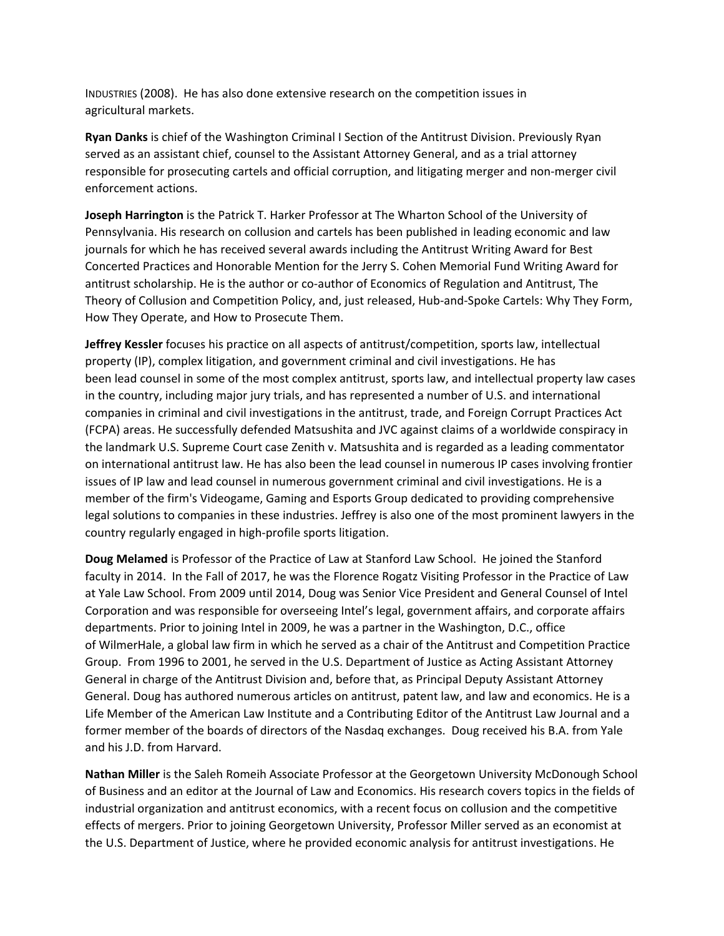INDUSTRIES (2008). He has also done extensive research on the competition issues in agricultural markets.

**Ryan Danks** is chief of the Washington Criminal I Section of the Antitrust Division. Previously Ryan served as an assistant chief, counsel to the Assistant Attorney General, and as a trial attorney responsible for prosecuting cartels and official corruption, and litigating merger and non-merger civil enforcement actions.

**Joseph Harrington** is the Patrick T. Harker Professor at The Wharton School of the University of Pennsylvania. His research on collusion and cartels has been published in leading economic and law journals for which he has received several awards including the Antitrust Writing Award for Best Concerted Practices and Honorable Mention for the Jerry S. Cohen Memorial Fund Writing Award for antitrust scholarship. He is the author or co-author of Economics of Regulation and Antitrust, The Theory of Collusion and Competition Policy, and, just released, Hub-and-Spoke Cartels: Why They Form, How They Operate, and How to Prosecute Them.

**Jeffrey Kessler** focuses his practice on all aspects of antitrust/competition, sports law, intellectual property (IP), complex litigation, and government criminal and civil investigations. He has been lead counsel in some of the most complex antitrust, sports law, and intellectual property law cases in the country, including major jury trials, and has represented a number of U.S. and international companies in criminal and civil investigations in the antitrust, trade, and Foreign Corrupt Practices Act (FCPA) areas. He successfully defended Matsushita and JVC against claims of a worldwide conspiracy in the landmark U.S. Supreme Court case Zenith v. Matsushita and is regarded as a leading commentator on international antitrust law. He has also been the lead counsel in numerous IP cases involving frontier issues of IP law and lead counsel in numerous government criminal and civil investigations. He is a member of the firm's Videogame, Gaming and Esports Group dedicated to providing comprehensive legal solutions to companies in these industries. Jeffrey is also one of the most prominent lawyers in the country regularly engaged in high-profile sports litigation.

**Doug Melamed** is Professor of the Practice of Law at Stanford Law School. He joined the Stanford faculty in 2014. In the Fall of 2017, he was the Florence Rogatz Visiting Professor in the Practice of Law at Yale Law School. From 2009 until 2014, Doug was Senior Vice President and General Counsel of Intel Corporation and was responsible for overseeing Intel's legal, government affairs, and corporate affairs departments. Prior to joining Intel in 2009, he was a partner in the Washington, D.C., office of WilmerHale, a global law firm in which he served as a chair of the Antitrust and Competition Practice Group. From 1996 to 2001, he served in the U.S. Department of Justice as Acting Assistant Attorney General in charge of the Antitrust Division and, before that, as Principal Deputy Assistant Attorney General. Doug has authored numerous articles on antitrust, patent law, and law and economics. He is a Life Member of the American Law Institute and a Contributing Editor of the Antitrust Law Journal and a former member of the boards of directors of the Nasdaq exchanges. Doug received his B.A. from Yale and his J.D. from Harvard.

**Nathan Miller** is the Saleh Romeih Associate Professor at the Georgetown University McDonough School of Business and an editor at the Journal of Law and Economics. His research covers topics in the fields of industrial organization and antitrust economics, with a recent focus on collusion and the competitive effects of mergers. Prior to joining Georgetown University, Professor Miller served as an economist at the U.S. Department of Justice, where he provided economic analysis for antitrust investigations. He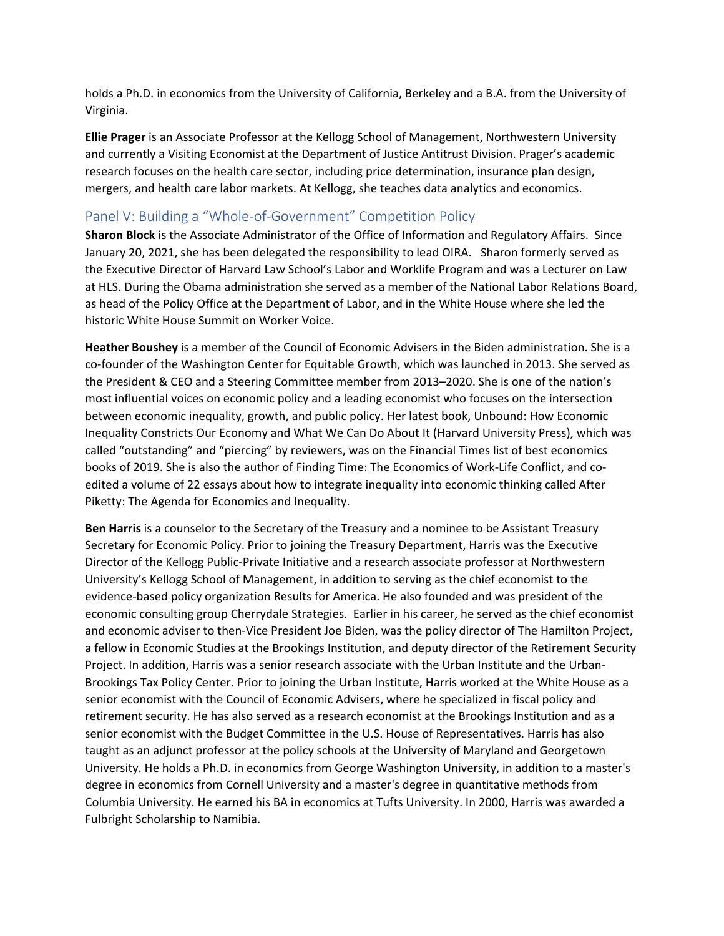holds a Ph.D. in economics from the University of California, Berkeley and a B.A. from the University of Virginia.

**Ellie Prager** is an Associate Professor at the Kellogg School of Management, Northwestern University and currently a Visiting Economist at the Department of Justice Antitrust Division. Prager's academic research focuses on the health care sector, including price determination, insurance plan design, mergers, and health care labor markets. At Kellogg, she teaches data analytics and economics.

#### Panel V: Building a "Whole-of-Government" Competition Policy

**Sharon Block** is the Associate Administrator of the Office of Information and Regulatory Affairs. Since January 20, 2021, she has been delegated the responsibility to lead OIRA. Sharon formerly served as the Executive Director of Harvard Law School's Labor and Worklife Program and was a Lecturer on Law at HLS. During the Obama administration she served as a member of the National Labor Relations Board, as head of the Policy Office at the Department of Labor, and in the White House where she led the historic White House Summit on Worker Voice.

**Heather Boushey** is a member of the Council of Economic Advisers in the Biden administration. She is a co-founder of the Washington Center for Equitable Growth, which was launched in 2013. She served as the President & CEO and a Steering Committee member from 2013–2020. She is one of the nation's most influential voices on economic policy and a leading economist who focuses on the intersection between economic inequality, growth, and public policy. Her latest book, Unbound: How Economic Inequality Constricts Our Economy and What We Can Do About It (Harvard University Press), which was called "outstanding" and "piercing" by reviewers, was on the Financial Times list of best economics books of 2019. She is also the author of Finding Time: The Economics of Work-Life Conflict, and coedited a volume of 22 essays about how to integrate inequality into economic thinking called After Piketty: The Agenda for Economics and Inequality.

**Ben Harris** is a counselor to the Secretary of the Treasury and a nominee to be Assistant Treasury Secretary for Economic Policy. Prior to joining the Treasury Department, Harris was the Executive Director of the Kellogg Public-Private Initiative and a research associate professor at Northwestern University's Kellogg School of Management, in addition to serving as the chief economist to the evidence-based policy organization Results for America. He also founded and was president of the economic consulting group Cherrydale Strategies. Earlier in his career, he served as the chief economist and economic adviser to then-Vice President Joe Biden, was the policy director of The Hamilton Project, a fellow in Economic Studies at the Brookings Institution, and deputy director of the Retirement Security Project. In addition, Harris was a senior research associate with the Urban Institute and the Urban-Brookings Tax Policy Center. Prior to joining the Urban Institute, Harris worked at the White House as a senior economist with the Council of Economic Advisers, where he specialized in fiscal policy and retirement security. He has also served as a research economist at the Brookings Institution and as a senior economist with the Budget Committee in the U.S. House of Representatives. Harris has also taught as an adjunct professor at the policy schools at the University of Maryland and Georgetown University. He holds a Ph.D. in economics from George Washington University, in addition to a master's degree in economics from Cornell University and a master's degree in quantitative methods from Columbia University. He earned his BA in economics at Tufts University. In 2000, Harris was awarded a Fulbright Scholarship to Namibia.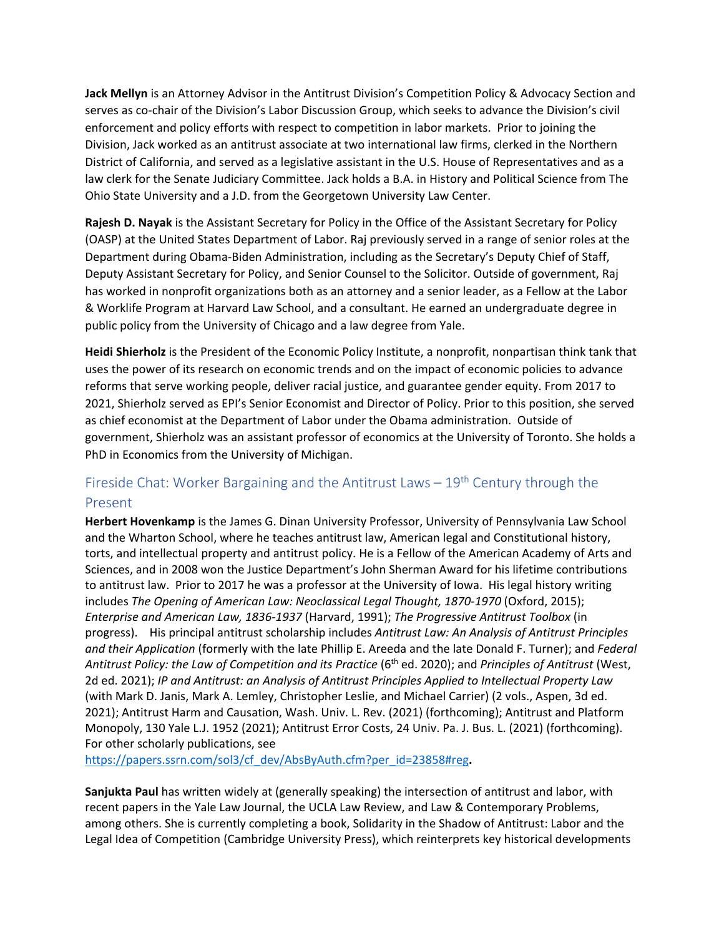**Jack Mellyn** is an Attorney Advisor in the Antitrust Division's Competition Policy & Advocacy Section and serves as co-chair of the Division's Labor Discussion Group, which seeks to advance the Division's civil enforcement and policy efforts with respect to competition in labor markets. Prior to joining the Division, Jack worked as an antitrust associate at two international law firms, clerked in the Northern District of California, and served as a legislative assistant in the U.S. House of Representatives and as a law clerk for the Senate Judiciary Committee. Jack holds a B.A. in History and Political Science from The Ohio State University and a J.D. from the Georgetown University Law Center.

**Rajesh D. Nayak** is the Assistant Secretary for Policy in the Office of the Assistant Secretary for Policy (OASP) at the United States Department of Labor. Raj previously served in a range of senior roles at the Department during Obama-Biden Administration, including as the Secretary's Deputy Chief of Staff, Deputy Assistant Secretary for Policy, and Senior Counsel to the Solicitor. Outside of government, Raj has worked in nonprofit organizations both as an attorney and a senior leader, as a Fellow at the Labor & Worklife Program at Harvard Law School, and a consultant. He earned an undergraduate degree in public policy from the University of Chicago and a law degree from Yale.

**Heidi Shierholz** is the President of the Economic Policy Institute, a nonprofit, nonpartisan think tank that uses the power of its research on economic trends and on the impact of economic policies to advance reforms that serve working people, deliver racial justice, and guarantee gender equity. From 2017 to 2021, Shierholz served as EPI's Senior Economist and Director of Policy. Prior to this position, she served as chief economist at the Department of Labor under the Obama administration. Outside of government, Shierholz was an assistant professor of economics at the University of Toronto. She holds a PhD in Economics from the University of Michigan.

# Fireside Chat: Worker Bargaining and the Antitrust Laws  $-19<sup>th</sup>$  Century through the Present

**Herbert Hovenkamp** is the James G. Dinan University Professor, University of Pennsylvania Law School and the Wharton School, where he teaches antitrust law, American legal and Constitutional history, torts, and intellectual property and antitrust policy. He is a Fellow of the American Academy of Arts and Sciences, and in 2008 won the Justice Department's John Sherman Award for his lifetime contributions to antitrust law. Prior to 2017 he was a professor at the University of Iowa. His legal history writing includes *The Opening of American Law: Neoclassical Legal Thought, 1870-1970* (Oxford, 2015); *Enterprise and American Law, 1836-1937* (Harvard, 1991); *The Progressive Antitrust Toolbox* (in progress). His principal antitrust scholarship includes *Antitrust Law: An Analysis of Antitrust Principles and their Application* (formerly with the late Phillip E. Areeda and the late Donald F. Turner); and *Federal*  Antitrust Policy: the Law of Competition and its Practice (6<sup>th</sup> ed. 2020); and Principles of Antitrust (West, 2d ed. 2021); *IP and Antitrust: an Analysis of Antitrust Principles Applied to Intellectual Property Law* (with Mark D. Janis, Mark A. Lemley, Christopher Leslie, and Michael Carrier) (2 vols., Aspen, 3d ed. 2021); Antitrust Harm and Causation, Wash. Univ. L. Rev. (2021) (forthcoming); Antitrust and Platform Monopoly, 130 Yale L.J. 1952 (2021); Antitrust Error Costs, 24 Univ. Pa. J. Bus. L. (2021) (forthcoming). For other scholarly publications, see

[https://papers.ssrn.com/sol3/cf\\_dev/AbsByAuth.cfm?per\\_id=23858#reg](https://papers.ssrn.com/sol3/cf_dev/AbsByAuth.cfm?per_id=23858#reg)**.**

**Sanjukta Paul** has written widely at (generally speaking) the intersection of antitrust and labor, with recent papers in the Yale Law Journal, the UCLA Law Review, and Law & Contemporary Problems, among others. She is currently completing a book, Solidarity in the Shadow of Antitrust: Labor and the Legal Idea of Competition (Cambridge University Press), which reinterprets key historical developments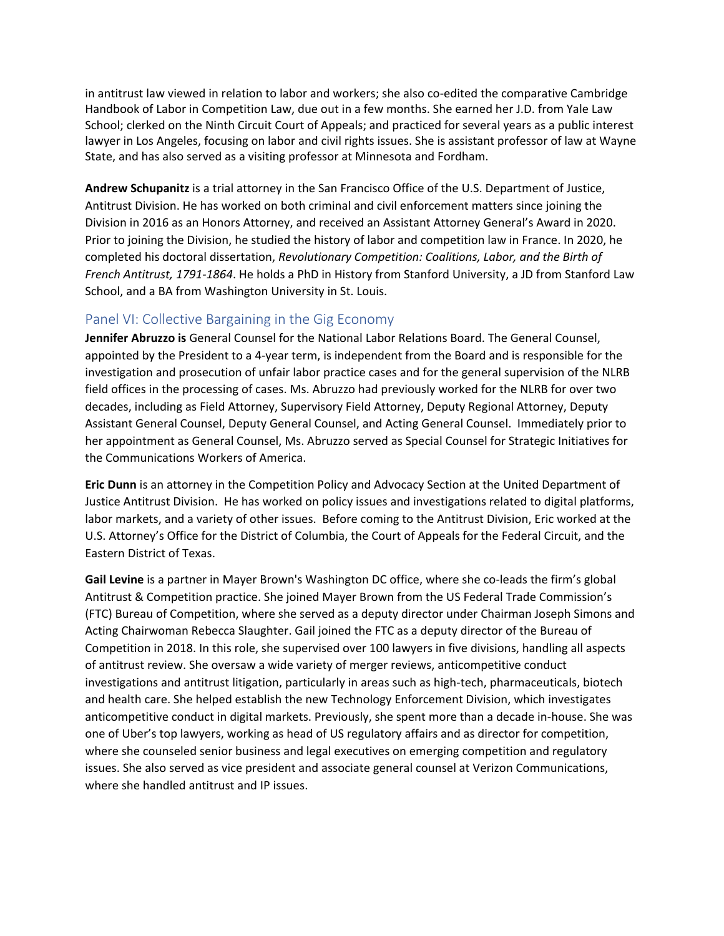in antitrust law viewed in relation to labor and workers; she also co-edited the comparative Cambridge Handbook of Labor in Competition Law, due out in a few months. She earned her J.D. from Yale Law School; clerked on the Ninth Circuit Court of Appeals; and practiced for several years as a public interest lawyer in Los Angeles, focusing on labor and civil rights issues. She is assistant professor of law at Wayne State, and has also served as a visiting professor at Minnesota and Fordham.

**Andrew Schupanitz** is a trial attorney in the San Francisco Office of the U.S. Department of Justice, Antitrust Division. He has worked on both criminal and civil enforcement matters since joining the Division in 2016 as an Honors Attorney, and received an Assistant Attorney General's Award in 2020. Prior to joining the Division, he studied the history of labor and competition law in France. In 2020, he completed his doctoral dissertation, *Revolutionary Competition: Coalitions, Labor, and the Birth of French Antitrust, 1791-1864*. He holds a PhD in History from Stanford University, a JD from Stanford Law School, and a BA from Washington University in St. Louis.

#### Panel VI: Collective Bargaining in the Gig Economy

**Jennifer Abruzzo is** General Counsel for the National Labor Relations Board. The General Counsel, appointed by the President to a 4-year term, is independent from the Board and is responsible for the investigation and prosecution of unfair labor practice cases and for the general supervision of the NLRB field offices in the processing of cases. Ms. Abruzzo had previously worked for the NLRB for over two decades, including as Field Attorney, Supervisory Field Attorney, Deputy Regional Attorney, Deputy Assistant General Counsel, Deputy General Counsel, and Acting General Counsel. Immediately prior to her appointment as General Counsel, Ms. Abruzzo served as Special Counsel for Strategic Initiatives for the Communications Workers of America.

**Eric Dunn** is an attorney in the Competition Policy and Advocacy Section at the United Department of Justice Antitrust Division. He has worked on policy issues and investigations related to digital platforms, labor markets, and a variety of other issues. Before coming to the Antitrust Division, Eric worked at the U.S. Attorney's Office for the District of Columbia, the Court of Appeals for the Federal Circuit, and the Eastern District of Texas.

**Gail Levine** is a partner in Mayer Brown's Washington DC office, where she co-leads the firm's global Antitrust & Competition practice. She joined Mayer Brown from the US Federal Trade Commission's (FTC) Bureau of Competition, where she served as a deputy director under Chairman Joseph Simons and Acting Chairwoman Rebecca Slaughter. Gail joined the FTC as a deputy director of the Bureau of Competition in 2018. In this role, she supervised over 100 lawyers in five divisions, handling all aspects of antitrust review. She oversaw a wide variety of merger reviews, anticompetitive conduct investigations and antitrust litigation, particularly in areas such as high-tech, pharmaceuticals, biotech and health care. She helped establish the new Technology Enforcement Division, which investigates anticompetitive conduct in digital markets. Previously, she spent more than a decade in-house. She was one of Uber's top lawyers, working as head of US regulatory affairs and as director for competition, where she counseled senior business and legal executives on emerging competition and regulatory issues. She also served as vice president and associate general counsel at Verizon Communications, where she handled antitrust and IP issues.